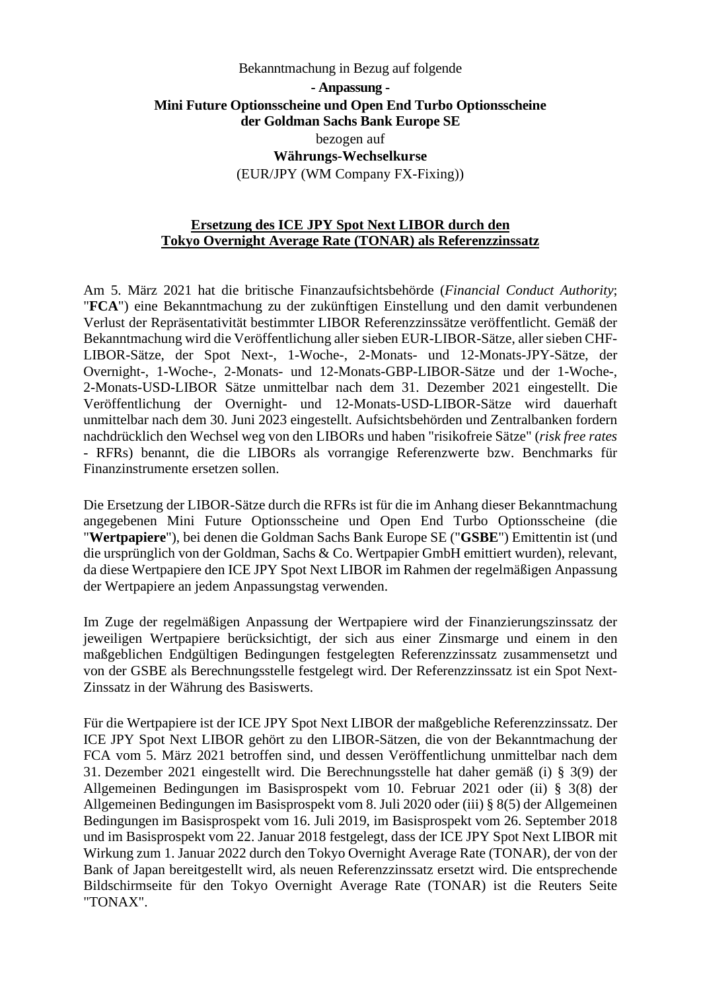# Bekanntmachung in Bezug auf folgende **- Anpassung - Mini Future Optionsscheine und Open End Turbo Optionsscheine der Goldman Sachs Bank Europe SE**  bezogen auf **Währungs-Wechselkurse**  (EUR/JPY (WM Company FX-Fixing))

## **Ersetzung des ICE JPY Spot Next LIBOR durch den Tokyo Overnight Average Rate (TONAR) als Referenzzinssatz**

Am 5. März 2021 hat die britische Finanzaufsichtsbehörde (*Financial Conduct Authority*; "**FCA**") eine Bekanntmachung zu der zukünftigen Einstellung und den damit verbundenen Verlust der Repräsentativität bestimmter LIBOR Referenzzinssätze veröffentlicht. Gemäß der Bekanntmachung wird die Veröffentlichung aller sieben EUR-LIBOR-Sätze, aller sieben CHF-LIBOR-Sätze, der Spot Next-, 1-Woche-, 2-Monats- und 12-Monats-JPY-Sätze, der Overnight-, 1-Woche-, 2-Monats- und 12-Monats-GBP-LIBOR-Sätze und der 1-Woche-, 2-Monats-USD-LIBOR Sätze unmittelbar nach dem 31. Dezember 2021 eingestellt. Die Veröffentlichung der Overnight- und 12-Monats-USD-LIBOR-Sätze wird dauerhaft unmittelbar nach dem 30. Juni 2023 eingestellt. Aufsichtsbehörden und Zentralbanken fordern nachdrücklich den Wechsel weg von den LIBORs und haben "risikofreie Sätze" (*risk free rates* - RFRs) benannt, die die LIBORs als vorrangige Referenzwerte bzw. Benchmarks für Finanzinstrumente ersetzen sollen.

Die Ersetzung der LIBOR-Sätze durch die RFRs ist für die im Anhang dieser Bekanntmachung angegebenen Mini Future Optionsscheine und Open End Turbo Optionsscheine (die "**Wertpapiere**"), bei denen die Goldman Sachs Bank Europe SE ("**GSBE**") Emittentin ist (und die ursprünglich von der Goldman, Sachs & Co. Wertpapier GmbH emittiert wurden), relevant, da diese Wertpapiere den ICE JPY Spot Next LIBOR im Rahmen der regelmäßigen Anpassung der Wertpapiere an jedem Anpassungstag verwenden.

Im Zuge der regelmäßigen Anpassung der Wertpapiere wird der Finanzierungszinssatz der jeweiligen Wertpapiere berücksichtigt, der sich aus einer Zinsmarge und einem in den maßgeblichen Endgültigen Bedingungen festgelegten Referenzzinssatz zusammensetzt und von der GSBE als Berechnungsstelle festgelegt wird. Der Referenzzinssatz ist ein Spot Next-Zinssatz in der Währung des Basiswerts.

Für die Wertpapiere ist der ICE JPY Spot Next LIBOR der maßgebliche Referenzzinssatz. Der ICE JPY Spot Next LIBOR gehört zu den LIBOR-Sätzen, die von der Bekanntmachung der FCA vom 5. März 2021 betroffen sind, und dessen Veröffentlichung unmittelbar nach dem 31. Dezember 2021 eingestellt wird. Die Berechnungsstelle hat daher gemäß (i) § 3(9) der Allgemeinen Bedingungen im Basisprospekt vom 10. Februar 2021 oder (ii) § 3(8) der Allgemeinen Bedingungen im Basisprospekt vom 8. Juli 2020 oder (iii) § 8(5) der Allgemeinen Bedingungen im Basisprospekt vom 16. Juli 2019, im Basisprospekt vom 26. September 2018 und im Basisprospekt vom 22. Januar 2018 festgelegt, dass der ICE JPY Spot Next LIBOR mit Wirkung zum 1. Januar 2022 durch den Tokyo Overnight Average Rate (TONAR), der von der Bank of Japan bereitgestellt wird, als neuen Referenzzinssatz ersetzt wird. Die entsprechende Bildschirmseite für den Tokyo Overnight Average Rate (TONAR) ist die Reuters Seite "TONAX".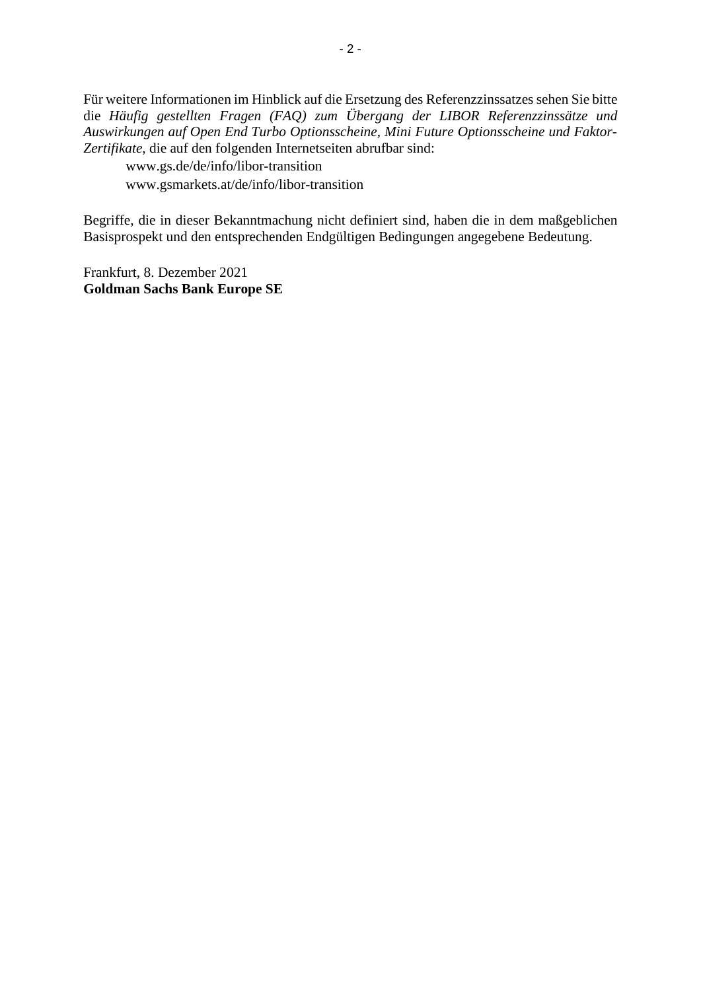Für weitere Informationen im Hinblick auf die Ersetzung des Referenzzinssatzes sehen Sie bitte die *Häufig gestellten Fragen (FAQ) zum Übergang der LIBOR Referenzzinssätze und Auswirkungen auf Open End Turbo Optionsscheine, Mini Future Optionsscheine und Faktor-Zertifikate*, die auf den folgenden Internetseiten abrufbar sind:

www.gs.de/de/info/libor-transition www.gsmarkets.at/de/info/libor-transition

Begriffe, die in dieser Bekanntmachung nicht definiert sind, haben die in dem maßgeblichen Basisprospekt und den entsprechenden Endgültigen Bedingungen angegebene Bedeutung.

Frankfurt, 8. Dezember 2021 **Goldman Sachs Bank Europe SE**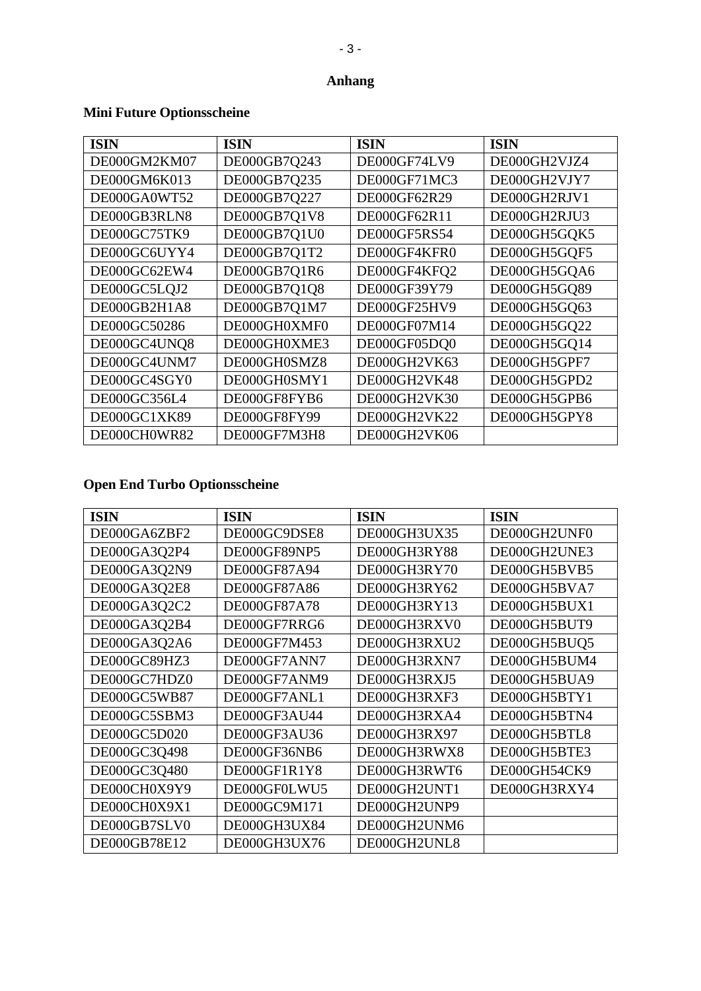#### **Anhang**

#### **ISIN ISIN ISIN ISIN** DE000GM2KM07 DE000GB7O243 DE000GH2VJZ4 DE000GF74LV9 DE000GM6K013 DE000GB7Q235 DE000GF71MC3 DE000GH2VJY7 DE000GA0WT52 DE000GB7Q227 DE000GH2RJV1 DE000GF62R29 DE000GB3RLN8 DE000GB7Q1V8 DE000GH2RJU3 DE000GF62R11 DE000GC75TK9 DE000GB7Q1U0 DE000GF5RS54 DE000GH5GQK5 DE000GC6UYY4 DE000GB7Q1T2 DE000GF4KFR0 DE000GH5GQF5 DE000GC62EW4 DE000GB7Q1R6 DE000GH5GQA6 DE000GF4KFQ2 DE000GC5LQJ2 DE000GB7Q1Q8 DE000GF39Y79 DE000GH5GQ89 DE000GB2H1A8 DE000GB7Q1M7 DE000GF25HV9 DE000GH5GQ63 DE000GC50286 DE000GH0XMF0 DE000GF07M14 DE000GH5GQ22 DE000GC4UNQ8 DE000GH0XME3 DE000GF05DQ0 DE000GH5GQ14 DE000GC4UNM7 DE000GH0SMZ8 DE000GH2VK63 DE000GH5GPF7 DE000GC4SGY0 DE000GH0SMY1 DE000GH2VK48 DE000GH5GPD2 DE000GC356L4 DE000GF8FYB6 DE000GH2VK30 DE000GH5GPB6 DE000GC1XK89 DE000GF8FY99 DE000GH2VK22 DE000GH5GPY8 DE000CH0WR82 DE000GF7M3H8 DE000GH2VK06

#### **Mini Future Optionsscheine**

## **Open End Turbo Optionsscheine**

| <b>ISIN</b>  | <b>ISIN</b>  | <b>ISIN</b>  | <b>ISIN</b>  |
|--------------|--------------|--------------|--------------|
| DE000GA6ZBF2 | DE000GC9DSE8 | DE000GH3UX35 | DE000GH2UNF0 |
| DE000GA3Q2P4 | DE000GF89NP5 | DE000GH3RY88 | DE000GH2UNE3 |
| DE000GA3Q2N9 | DE000GF87A94 | DE000GH3RY70 | DE000GH5BVB5 |
| DE000GA3Q2E8 | DE000GF87A86 | DE000GH3RY62 | DE000GH5BVA7 |
| DE000GA3Q2C2 | DE000GF87A78 | DE000GH3RY13 | DE000GH5BUX1 |
| DE000GA3Q2B4 | DE000GF7RRG6 | DE000GH3RXV0 | DE000GH5BUT9 |
| DE000GA3Q2A6 | DE000GF7M453 | DE000GH3RXU2 | DE000GH5BUQ5 |
| DE000GC89HZ3 | DE000GF7ANN7 | DE000GH3RXN7 | DE000GH5BUM4 |
| DE000GC7HDZ0 | DE000GF7ANM9 | DE000GH3RXJ5 | DE000GH5BUA9 |
| DE000GC5WB87 | DE000GF7ANL1 | DE000GH3RXF3 | DE000GH5BTY1 |
| DE000GC5SBM3 | DE000GF3AU44 | DE000GH3RXA4 | DE000GH5BTN4 |
| DE000GC5D020 | DE000GF3AU36 | DE000GH3RX97 | DE000GH5BTL8 |
| DE000GC3Q498 | DE000GF36NB6 | DE000GH3RWX8 | DE000GH5BTE3 |
| DE000GC3Q480 | DE000GF1R1Y8 | DE000GH3RWT6 | DE000GH54CK9 |
| DE000CH0X9Y9 | DE000GF0LWU5 | DE000GH2UNT1 | DE000GH3RXY4 |
| DE000CH0X9X1 | DE000GC9M171 | DE000GH2UNP9 |              |
| DE000GB7SLV0 | DE000GH3UX84 | DE000GH2UNM6 |              |
| DE000GB78E12 | DE000GH3UX76 | DE000GH2UNL8 |              |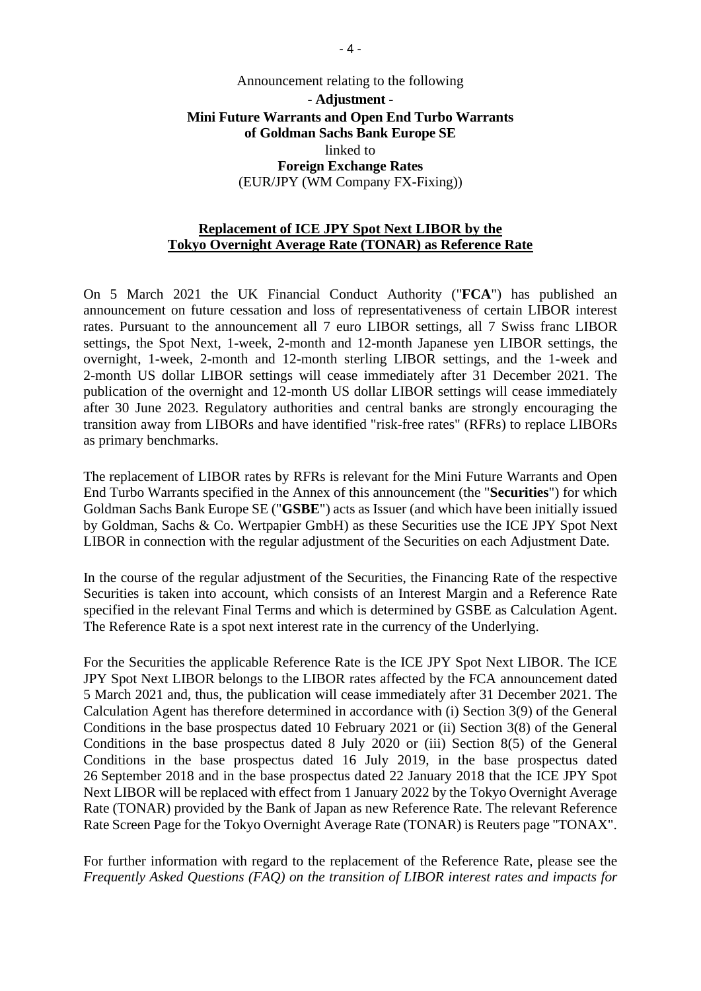# Announcement relating to the following **- Adjustment - Mini Future Warrants and Open End Turbo Warrants of Goldman Sachs Bank Europe SE**  linked to **Foreign Exchange Rates**  (EUR/JPY (WM Company FX-Fixing))

# **Replacement of ICE JPY Spot Next LIBOR by the Tokyo Overnight Average Rate (TONAR) as Reference Rate**

On 5 March 2021 the UK Financial Conduct Authority ("**FCA**") has published an [announcement on future cessation and loss of representativeness of certain LIBOR interest](https://www.fca.org.uk/publication/documents/future-cessation-loss-representativeness-libor-benchmarks.pdf)  [rates. Pursuant to the announcement all 7 euro LIBOR settings, all 7 Swiss franc LIBOR](https://www.fca.org.uk/publication/documents/future-cessation-loss-representativeness-libor-benchmarks.pdf)  settings, the Spot Next, 1-week, 2-month and 12-month Japanese yen LIBOR settings, the overnight, 1-week, 2-month and 12-month sterling LIBOR settings, and the 1-week and 2-month US dollar LIBOR settings will cease immediately after 31 December 2021. The publication of the overnight and 12-month US dollar LIBOR settings will cease immediately after 30 June 2023. Regulatory authorities and central banks are strongly encouraging the transition away from LIBORs and have identified "risk-free rates" (RFRs) to replace LIBORs as primary benchmarks.

The replacement of LIBOR rates by RFRs is relevant for the Mini Future Warrants and Open End Turbo Warrants specified in the Annex of this announcement (the "**Securities**") for which Goldman Sachs Bank Europe SE ("**GSBE**") acts as Issuer (and which have been initially issued by Goldman, Sachs & Co. Wertpapier GmbH) as these Securities use the ICE JPY Spot Next LIBOR in connection with the regular adjustment of the Securities on each Adjustment Date.

In the course of the regular adjustment of the Securities, the Financing Rate of the respective Securities is taken into account, which consists of an Interest Margin and a Reference Rate specified in the relevant Final Terms and which is determined by GSBE as Calculation Agent. The Reference Rate is a spot next interest rate in the currency of the Underlying.

For the Securities the applicable Reference Rate is the ICE JPY Spot Next LIBOR. The ICE JPY Spot Next LIBOR belongs to the LIBOR rates affected by the FCA announcement dated 5 March 2021 and, thus, the publication will cease immediately after 31 December 2021. The Calculation Agent has therefore determined in accordance with (i) Section 3(9) of the General Conditions in the base prospectus dated 10 February 2021 or (ii) Section 3(8) of the General Conditions in the base prospectus dated 8 July 2020 or (iii) Section 8(5) of the General Conditions in the base prospectus dated 16 July 2019, in the base prospectus dated 26 September 2018 and in the base prospectus dated 22 January 2018 that the ICE JPY Spot Next LIBOR will be replaced with effect from 1 January 2022 by the Tokyo Overnight Average Rate (TONAR) provided by the Bank of Japan as new Reference Rate. The relevant Reference Rate Screen Page for the Tokyo Overnight Average Rate (TONAR) is Reuters page "TONAX".

For further information with regard to the replacement of the Reference Rate, please see the *Frequently Asked Questions (FAQ) on the transition of LIBOR interest rates and impacts for*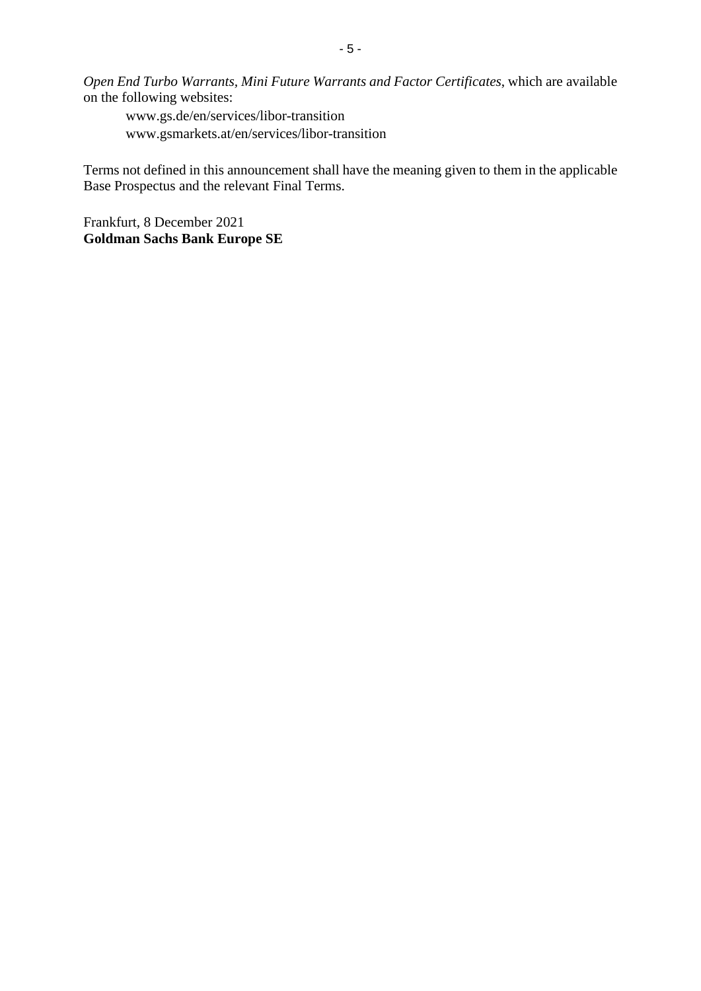*Open End Turbo Warrants, Mini Future Warrants and Factor Certificates*, which are available on the following websites:

www.gs.de/en/services/libor-transition www.gsmarkets.at/en/services/libor-transition

Terms not defined in this announcement shall have the meaning given to them in the applicable Base Prospectus and the relevant Final Terms.

Frankfurt, 8 December 2021 **Goldman Sachs Bank Europe SE**